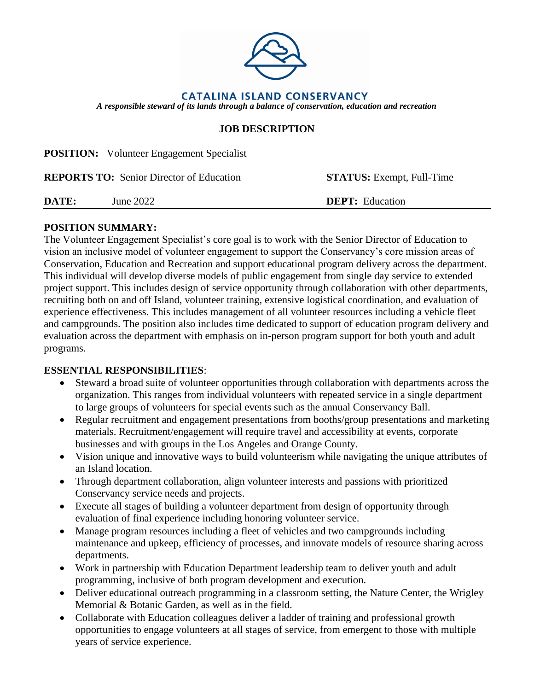

### **JOB DESCRIPTION**

**POSITION:** Volunteer Engagement Specialist

|       | <b>REPORTS TO:</b> Senior Director of Education | <b>STATUS:</b> Exempt, Full-Time |
|-------|-------------------------------------------------|----------------------------------|
| DATE: | June 2022                                       | <b>DEPT:</b> Education           |

#### **POSITION SUMMARY:**

The Volunteer Engagement Specialist's core goal is to work with the Senior Director of Education to vision an inclusive model of volunteer engagement to support the Conservancy's core mission areas of Conservation, Education and Recreation and support educational program delivery across the department. This individual will develop diverse models of public engagement from single day service to extended project support. This includes design of service opportunity through collaboration with other departments, recruiting both on and off Island, volunteer training, extensive logistical coordination, and evaluation of experience effectiveness. This includes management of all volunteer resources including a vehicle fleet and campgrounds. The position also includes time dedicated to support of education program delivery and evaluation across the department with emphasis on in-person program support for both youth and adult programs.

#### **ESSENTIAL RESPONSIBILITIES**:

- Steward a broad suite of volunteer opportunities through collaboration with departments across the organization. This ranges from individual volunteers with repeated service in a single department to large groups of volunteers for special events such as the annual Conservancy Ball.
- Regular recruitment and engagement presentations from booths/group presentations and marketing materials. Recruitment/engagement will require travel and accessibility at events, corporate businesses and with groups in the Los Angeles and Orange County.
- Vision unique and innovative ways to build volunteerism while navigating the unique attributes of an Island location.
- Through department collaboration, align volunteer interests and passions with prioritized Conservancy service needs and projects.
- Execute all stages of building a volunteer department from design of opportunity through evaluation of final experience including honoring volunteer service.
- Manage program resources including a fleet of vehicles and two campgrounds including maintenance and upkeep, efficiency of processes, and innovate models of resource sharing across departments.
- Work in partnership with Education Department leadership team to deliver youth and adult programming, inclusive of both program development and execution.
- Deliver educational outreach programming in a classroom setting, the Nature Center, the Wrigley Memorial & Botanic Garden, as well as in the field.
- Collaborate with Education colleagues deliver a ladder of training and professional growth opportunities to engage volunteers at all stages of service, from emergent to those with multiple years of service experience.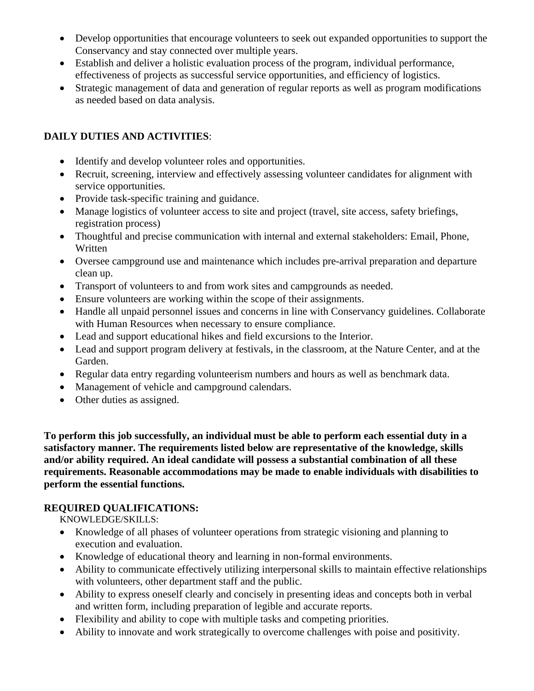- Develop opportunities that encourage volunteers to seek out expanded opportunities to support the Conservancy and stay connected over multiple years.
- Establish and deliver a holistic evaluation process of the program, individual performance, effectiveness of projects as successful service opportunities, and efficiency of logistics.
- Strategic management of data and generation of regular reports as well as program modifications as needed based on data analysis.

# **DAILY DUTIES AND ACTIVITIES**:

- Identify and develop volunteer roles and opportunities.
- Recruit, screening, interview and effectively assessing volunteer candidates for alignment with service opportunities.
- Provide task-specific training and guidance.
- Manage logistics of volunteer access to site and project (travel, site access, safety briefings, registration process)
- Thoughtful and precise communication with internal and external stakeholders: Email, Phone, Written
- Oversee campground use and maintenance which includes pre-arrival preparation and departure clean up.
- Transport of volunteers to and from work sites and campgrounds as needed.
- Ensure volunteers are working within the scope of their assignments.
- Handle all unpaid personnel issues and concerns in line with Conservancy guidelines. Collaborate with Human Resources when necessary to ensure compliance.
- Lead and support educational hikes and field excursions to the Interior.
- Lead and support program delivery at festivals, in the classroom, at the Nature Center, and at the Garden.
- Regular data entry regarding volunteerism numbers and hours as well as benchmark data.
- Management of vehicle and campground calendars.
- Other duties as assigned.

**To perform this job successfully, an individual must be able to perform each essential duty in a satisfactory manner. The requirements listed below are representative of the knowledge, skills and/or ability required. An ideal candidate will possess a substantial combination of all these requirements. Reasonable accommodations may be made to enable individuals with disabilities to perform the essential functions.**

#### **REQUIRED QUALIFICATIONS:**

KNOWLEDGE/SKILLS:

- Knowledge of all phases of volunteer operations from strategic visioning and planning to execution and evaluation.
- Knowledge of educational theory and learning in non-formal environments.
- Ability to communicate effectively utilizing interpersonal skills to maintain effective relationships with volunteers, other department staff and the public.
- Ability to express oneself clearly and concisely in presenting ideas and concepts both in verbal and written form, including preparation of legible and accurate reports.
- Flexibility and ability to cope with multiple tasks and competing priorities.
- Ability to innovate and work strategically to overcome challenges with poise and positivity.